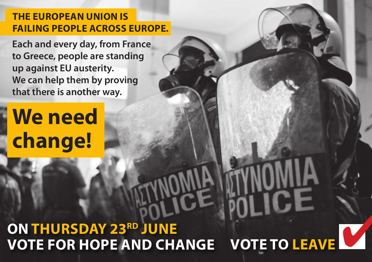## **THE EUROPEAN UNION IS FAILING PEOPLE ACROSS EUROPE.**

**Each and every day, from France to Greece, people are standing up against EU austerity. We can help them by proving that there is another way.**

# **We need change!**

## **ON THURSDAY 23RD JUNE VOTE FOR HOPE AND CHANGE VOTE TO LEAVE**

**There** is no such a such a such a such a such a such a such a such as a such a such as  $\mathbf{r} = \mathbf{r}$ 

**there** is only the interest

**and you are only if** 

**UWILL** 2

**the home of the second for the second for the second for the second for the second for the second for the second for the second for the second for the second for the second for the second for the second for the second for** 

**the contract of the second contract of the second contract of the second contract of the second contract of the second contract of the second contract of the second contract of the second contract of the second contract o** 

**tax-payers' money**